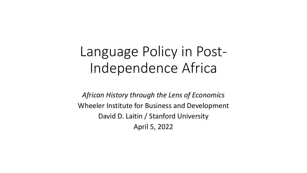# Language Policy in Post-Independence Africa

*African History through the Lens of Economics* Wheeler Institute for Business and Development David D. Laitin / Stanford University April 5, 2022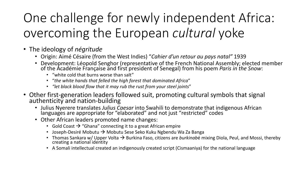# One challenge for newly independent Africa: overcoming the European *cultural* yoke

- The ideology of *négritude*
	- Origin: Aimé Césaire (from the West Indies) "*Cahier d'un retour au pays natal"* 1939
	- Development: Léopold Senghor (representative of the French National Assembly; elected member of the Académie Française and first president of Senegal) from his poem *Paris in the Snow*:
		- "white cold that burns worse than salt"
		- "*the white hands that felled the high forest that dominated Africa*"
		- *"let black blood flow that it may rub the rust from your steel joints*"
- Other first-generation leaders followed suit, promoting cultural symbols that signal authenticity and nation-building
	- Julius Nyerere translates *Julius Caesar* into Swahili to demonstrate that indigenous African languages are appropriate for "elaborated" and not just "restricted" codes
	- Other African leaders promoted name changes:
		- Gold Coast  $\rightarrow$  "Ghana" connecting it to a great African empire
		- Joseph-Desiré Mobutu  $\rightarrow$  Mobutu Sese Seko Kuku Ngbendu Wa Za Banga
		- Thomas Sankara w/ Upper Volta  $\rightarrow$  Burkina Faso, citizens are *burkinab*é mixing Diola, Peul, and Mossi, thereby creating a national identity
		- A Somali intellectual created an indigenously created script (Cismaaniya) for the national language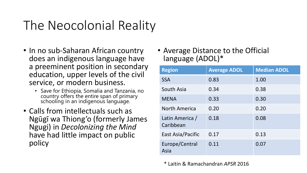# The Neocolonial Reality

- In no sub-Saharan African country does an indigenous language have a preeminent position in secondary education, upper levels of the civil service, or modern business.
	- Save for Ethiopia, Somalia and Tanzania, no country offers the entire span of primary schooling in an indigenous language.
- Calls from intellectuals such as Ngūgī wa Thiong'o (formerly James Ngugi) in *Decolonizing the Mind*  have had little impact on public policy

• Average Distance to the Official language (ADOL)\*

| <b>Region</b>                | <b>Average ADOL</b> | <b>Median ADOL</b> |
|------------------------------|---------------------|--------------------|
| <b>SSA</b>                   | 0.83                | 1.00               |
| South Asia                   | 0.34                | 0.38               |
| <b>MENA</b>                  | 0.33                | 0.30               |
| <b>North America</b>         | 0.20                | 0.20               |
| Latin America /<br>Caribbean | 0.18                | 0.08               |
| East Asia/Pacific            | 0.17                | 0.13               |
| Europe/Central<br>Asia       | 0.11                | 0.07               |

\* Laitin & Ramachandran *APSR* 2016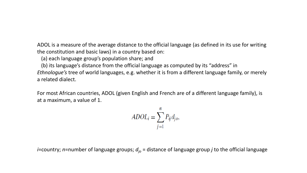ADOL is a measure of the average distance to the official language (as defined in its use for writing the constitution and basic laws) in a country based on:

(a) each language group's population share; and

(b) its language's distance from the official language as computed by its "address" in *Ethnologue's* tree of world languages, e.g. whether it is from a different language family, or merely a related dialect.

For most African countries, ADOL (given English and French are of a different language family), is at a maximum, a value of 1.

$$
ADOL_i = \sum_{j=1}^{n} P_{ij} d_{jo},
$$

*i*=country; *n*=number of language groups;  $d_{io}$  = distance of language group *j* to the official language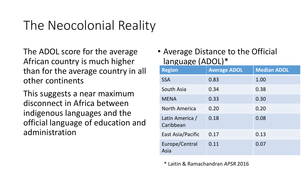# The Neocolonial Reality

The ADOL score for the average African country is much higher than for the average country in all other continents

This suggests a near maximum disconnect in Africa between indigenous languages and the official language of education and administration

### • Average Distance to the Official language (ADOL)\*

| <b>Region</b>                | <b>Average ADOL</b> | <b>Median ADOL</b> |
|------------------------------|---------------------|--------------------|
| <b>SSA</b>                   | 0.83                | 1.00               |
| South Asia                   | 0.34                | 0.38               |
| <b>MENA</b>                  | 0.33                | 0.30               |
| <b>North America</b>         | 0.20                | 0.20               |
| Latin America /<br>Caribbean | 0.18                | 0.08               |
| East Asia/Pacific            | 0.17                | 0.13               |
| Europe/Central<br>Asia       | 0.11                | 0.07               |

\* Laitin & Ramachandran *APSR* 2016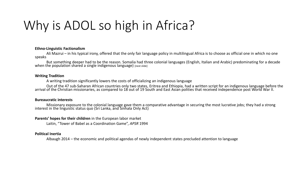# Why is ADOL so high in Africa?

#### **Ethno-Linguistic Factionalism**

Ali Mazrui – in his typical irony, offered that the only fair language policy in multilingual Africa is to choose as official one in which no one speaks

But something deeper had to be the reason. Somalia had three colonial languages (English, Italian and Arabic) predominating for a decade when the population shared a single indigenous language) [next slide]

#### **Writing Tradition**

A writing tradition significantly lowers the costs of officializing an indigenous language

Out of the 47 sub-Saharan African countries only two states, Eritrea and Ethiopia, had a written script for an indigenous language before the arrival of the Christian missionaries, as compared to 18 out of 19 South and Eas

#### **Bureaucratic interests**

Missionary exposure to the colonial language gave them a comparative advantage in securing the most lucrative jobs; they had a strong interest in the linguistic status quo (Sri Lanka, and Sinhala Only Act)

#### **Parents' hopes for their children** in the European labor market

Laitin, "Tower of Babel as a Coordination Game", *APSR* 1994

#### **Political Inertia**

Albaugh 2014 – the economic and political agendas of newly independent states precluded attention to language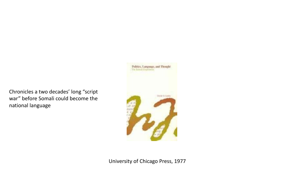Chronicles a two decades' long "script war" before Somali could become the national language

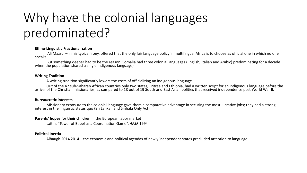# Why have the colonial languages predominated?

#### **Ethno-Linguistic Fractionalization**

Ali Mazrui – in his typical irony, offered that the only fair language policy in multilingual Africa is to choose as official one in which no one speaks

But something deeper had to be the reason. Somalia had three colonial languages (English, Italian and Arabic) predominating for a decade when the population shared a single indigenous language)

#### **Writing Tradition**

A writing tradition significantly lowers the costs of officializing an indigenous language

Out of the 47 sub-Saharan African countries only two states, Eritrea and Ethiopia, had a written script for an indigenous language before the<br>arrival of the Christian missionaries, as compared to 18 out of 19 South and Eas

#### **Bureaucratic interests**

Missionary exposure to the colonial language gave them a comparative advantage in securing the most lucrative jobs; they had a strong interest in the linguistic status quo (Sri Lanka , and Sinhala Only Act)

#### **Parents' hopes for their children** in the European labor market

Laitin, "Tower of Babel as a Coordination Game", *APSR* 1994

#### **Political Inertia**

Albaugh 2014 2014 – the economic and political agendas of newly independent states precluded attention to language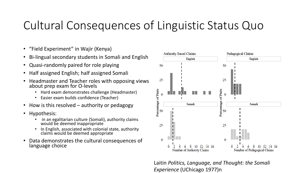### Cultural Consequences of Linguistic Status Quo

- "Field Experiment" in Wajir (Kenya)
- Bi-lingual secondary students in Somali and English
- Quasi-randomly paired for role playing
- Half assigned English; half assigned Somali
- Headmaster and Teacher roles with opposing views about prep exam for O-levels
	- Hard exam demonstrates challenge (Headmaster)
	- Easier exam builds confidence (Teacher)
- How is this resolved authority or pedagogy
- Hypothesis:
	- in an egalitarian culture (Somali), authority claims would be deemed inappropriate
	- In English, associated with colonial state, authority claims would be deemed appropriate
- Data demonstrates the cultural consequences of language choice



Laitin *Politics, Language, and Thought: the Somali Experience* (UChicago 1977)n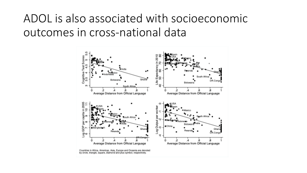### ADOL is also associated with socioeconomic outcomes in cross-national data

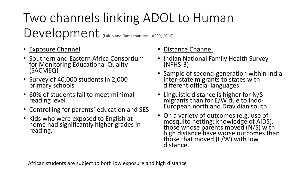# Two channels linking ADOL to Human Development (Laitin and Ramachandran, APSR, 2016)

- Exposure Channel
- Southern and Eastern Africa Consortium for Monitoring Educational Quality (SACMEQ)
- Survey of 40,000 students in 2,000 primary schools
- 60% of students fail to meet minimal reading level
- Controlling for parents' education and SES
- Kids who were exposed to English at home had significantly higher grades in reading.

### • Distance Channel

- Indian National Family Health Survey (NFHS-3)
- Sample of second-generation within India inter-state migrants to states with different official languages
- Linguistic distance is higher for N/S European north and Dravidian south.
- On a variety of outcomes (e.g. use of mosquito netting; knowledge of AIDS), those whose parents moved (N/S) with high distance have worse outcomes than those that moved (E/W) with low distance.

African students are subject to both low exposure and high distance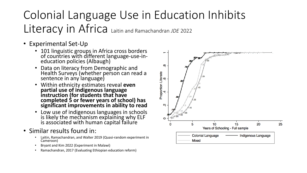### Colonial Language Use in Education Inhibits Literacy in Africa Laitin and Ramachandran *JDE* <sup>2022</sup>

- Experimental Set-Up
	- 101 linguistic groups in Africa cross borders of countries with different language-use-in-<br>education policies (Albaugh)
	- Data on literacy from Demographic and Health Surveys (whether person can read a sentence in any language)
	- Within ethnicity estimates reveal **even partial use of indigenous language instruction (for students that have completed 5 or fewer years of school) has significant improvements in ability to read**
	- Low use of indigenous languages in schools is likely the mechanism explaining why ELF is associated with human capital failure
- Similar results found in:
	- Laitin, Ramachandran, and Walter 2019 (Quasi-random experiment in Cameroon)
	- Bryant and Kim 2022 (Experiment in Malawi)
	- Ramachandran, 2017 (Evaluating Ethiopian education reform)

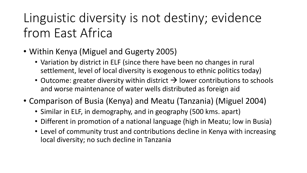# Linguistic diversity is not destiny; evidence from East Africa

- Within Kenya (Miguel and Gugerty 2005)
	- Variation by district in ELF (since there have been no changes in rural settlement, level of local diversity is exogenous to ethnic politics today)
	- Outcome: greater diversity within district  $\rightarrow$  lower contributions to schools and worse maintenance of water wells distributed as foreign aid
- Comparison of Busia (Kenya) and Meatu (Tanzania) (Miguel 2004)
	- Similar in ELF, in demography, and in geography (500 kms. apart)
	- Different in promotion of a national language (high in Meatu; low in Busia)
	- Level of community trust and contributions decline in Kenya with increasing local diversity; no such decline in Tanzania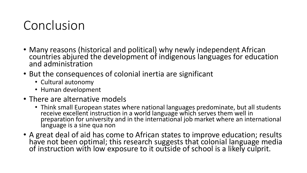## Conclusion

- Many reasons (historical and political) why newly independent African countries abjured the development of indigenous languages for education and administration
- But the consequences of colonial inertia are significant
	- Cultural autonomy
	- Human development
- There are alternative models
	- Think small European states where national languages predominate, but all students receive excellent instruction in a world language which serves them well in preparation for university and in the international job market where an international language is a sine qua non
- A great deal of aid has come to African states to improve education; results have not been optimal; this research suggests that colonial language media of instruction with low exposure to it outside of school is a likely culprit.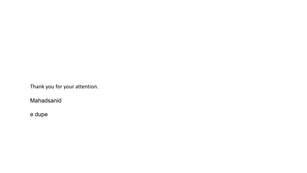Thank you for your attention.

Mahadsanid

e dupe